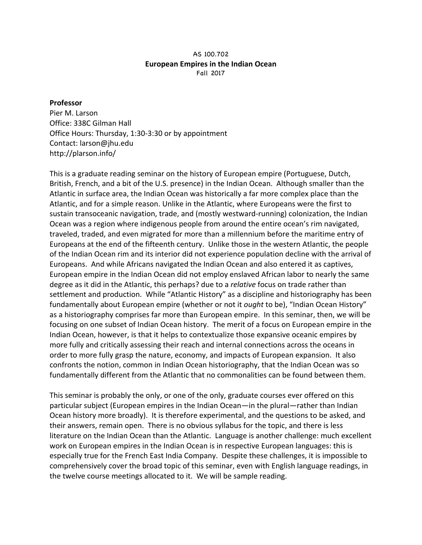## AS 100.702 **European Empires in the Indian Ocean** Fall 2017

## **Professor**

Pier M. Larson Office: 338C Gilman Hall Office Hours: Thursday, 1:30-3:30 or by appointment Contact: larson@jhu.edu http://plarson.info/

This is a graduate reading seminar on the history of European empire (Portuguese, Dutch, British, French, and a bit of the U.S. presence) in the Indian Ocean. Although smaller than the Atlantic in surface area, the Indian Ocean was historically a far more complex place than the Atlantic, and for a simple reason. Unlike in the Atlantic, where Europeans were the first to sustain transoceanic navigation, trade, and (mostly westward-running) colonization, the Indian Ocean was a region where indigenous people from around the entire ocean's rim navigated, traveled, traded, and even migrated for more than a millennium before the maritime entry of Europeans at the end of the fifteenth century. Unlike those in the western Atlantic, the people of the Indian Ocean rim and its interior did not experience population decline with the arrival of Europeans. And while Africans navigated the Indian Ocean and also entered it as captives, European empire in the Indian Ocean did not employ enslaved African labor to nearly the same degree as it did in the Atlantic, this perhaps? due to a *relative* focus on trade rather than settlement and production. While "Atlantic History" as a discipline and historiography has been fundamentally about European empire (whether or not it *ought* to be), "Indian Ocean History" as a historiography comprises far more than European empire. In this seminar, then, we will be focusing on one subset of Indian Ocean history. The merit of a focus on European empire in the Indian Ocean, however, is that it helps to contextualize those expansive oceanic empires by more fully and critically assessing their reach and internal connections across the oceans in order to more fully grasp the nature, economy, and impacts of European expansion. It also confronts the notion, common in Indian Ocean historiography, that the Indian Ocean was so fundamentally different from the Atlantic that no commonalities can be found between them.

This seminar is probably the only, or one of the only, graduate courses ever offered on this particular subject (European empires in the Indian Ocean—in the plural—rather than Indian Ocean history more broadly). It is therefore experimental, and the questions to be asked, and their answers, remain open. There is no obvious syllabus for the topic, and there is less literature on the Indian Ocean than the Atlantic. Language is another challenge: much excellent work on European empires in the Indian Ocean is in respective European languages: this is especially true for the French East India Company. Despite these challenges, it is impossible to comprehensively cover the broad topic of this seminar, even with English language readings, in the twelve course meetings allocated to it. We will be sample reading.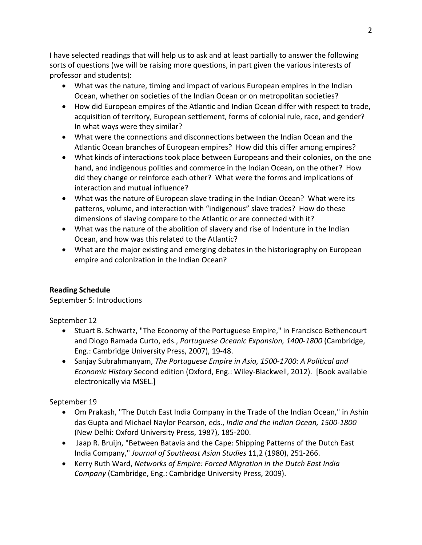I have selected readings that will help us to ask and at least partially to answer the following sorts of questions (we will be raising more questions, in part given the various interests of professor and students):

- What was the nature, timing and impact of various European empires in the Indian Ocean, whether on societies of the Indian Ocean or on metropolitan societies?
- How did European empires of the Atlantic and Indian Ocean differ with respect to trade, acquisition of territory, European settlement, forms of colonial rule, race, and gender? In what ways were they similar?
- What were the connections and disconnections between the Indian Ocean and the Atlantic Ocean branches of European empires? How did this differ among empires?
- What kinds of interactions took place between Europeans and their colonies, on the one hand, and indigenous polities and commerce in the Indian Ocean, on the other? How did they change or reinforce each other? What were the forms and implications of interaction and mutual influence?
- What was the nature of European slave trading in the Indian Ocean? What were its patterns, volume, and interaction with "indigenous" slave trades? How do these dimensions of slaving compare to the Atlantic or are connected with it?
- What was the nature of the abolition of slavery and rise of Indenture in the Indian Ocean, and how was this related to the Atlantic?
- What are the major existing and emerging debates in the historiography on European empire and colonization in the Indian Ocean?

## **Reading Schedule**

September 5: Introductions

September 12

- Stuart B. Schwartz, "The Economy of the Portuguese Empire," in Francisco Bethencourt and Diogo Ramada Curto, eds., *Portuguese Oceanic Expansion, 1400-1800* (Cambridge, Eng.: Cambridge University Press, 2007), 19-48.
- Sanjay Subrahmanyam, *The Portuguese Empire in Asia, 1500-1700: A Political and Economic History* Second edition (Oxford, Eng.: Wiley-Blackwell, 2012). [Book available electronically via MSEL.]

September 19

- Om Prakash, "The Dutch East India Company in the Trade of the Indian Ocean," in Ashin das Gupta and Michael Naylor Pearson, eds., *India and the Indian Ocean, 1500-1800* (New Delhi: Oxford University Press, 1987), 185-200.
- Jaap R. Bruijn, "Between Batavia and the Cape: Shipping Patterns of the Dutch East India Company," *Journal of Southeast Asian Studies* 11,2 (1980), 251-266.
- Kerry Ruth Ward, *Networks of Empire: Forced Migration in the Dutch East India Company* (Cambridge, Eng.: Cambridge University Press, 2009).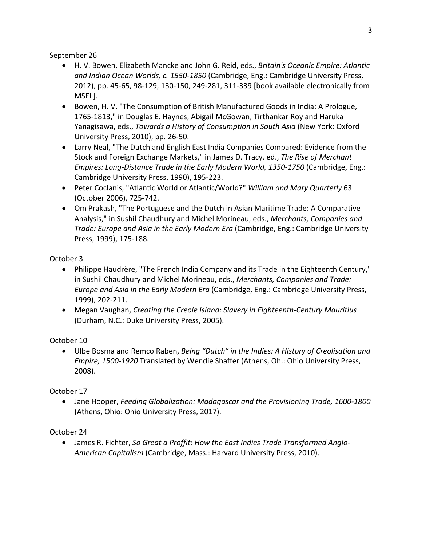September 26

- H. V. Bowen, Elizabeth Mancke and John G. Reid, eds., *Britain's Oceanic Empire: Atlantic* and Indian Ocean Worlds, c. 1550-1850 (Cambridge, Eng.: Cambridge University Press, 2012), pp. 45-65, 98-129, 130-150, 249-281, 311-339 [book available electronically from MSEL].
- Bowen, H. V. "The Consumption of British Manufactured Goods in India: A Prologue, 1765-1813," in Douglas E. Haynes, Abigail McGowan, Tirthankar Roy and Haruka Yanagisawa, eds., *Towards a History of Consumption in South Asia* (New York: Oxford University Press, 2010), pp. 26-50.
- Larry Neal, "The Dutch and English East India Companies Compared: Evidence from the Stock and Foreign Exchange Markets," in James D. Tracy, ed., *The Rise of Merchant Empires: Long-Distance Trade in the Early Modern World, 1350-1750* (Cambridge, Eng.: Cambridge University Press, 1990), 195-223.
- Peter Coclanis, "Atlantic World or Atlantic/World?" *William and Mary Quarterly* 63 (October 2006), 725-742.
- Om Prakash, "The Portuguese and the Dutch in Asian Maritime Trade: A Comparative Analysis," in Sushil Chaudhury and Michel Morineau, eds., *Merchants, Companies and Trade: Europe and Asia in the Early Modern Era* (Cambridge, Eng.: Cambridge University Press, 1999), 175-188.

October 3

- Philippe Haudrère, "The French India Company and its Trade in the Eighteenth Century," in Sushil Chaudhury and Michel Morineau, eds., *Merchants, Companies and Trade: Europe and Asia in the Early Modern Era* (Cambridge, Eng.: Cambridge University Press, 1999), 202-211.
- Megan Vaughan, *Creating the Creole Island: Slavery in Eighteenth-Century Mauritius* (Durham, N.C.: Duke University Press, 2005).

October 10

• Ulbe Bosma and Remco Raben, *Being "Dutch" in the Indies: A History of Creolisation and Empire, 1500-1920* Translated by Wendie Shaffer (Athens, Oh.: Ohio University Press, 2008).

October 17

• Jane Hooper, *Feeding Globalization: Madagascar and the Provisioning Trade, 1600-1800* (Athens, Ohio: Ohio University Press, 2017).

October 24

• James R. Fichter, So Great a Proffit: How the East Indies Trade Transformed Anglo-American Capitalism (Cambridge, Mass.: Harvard University Press, 2010).